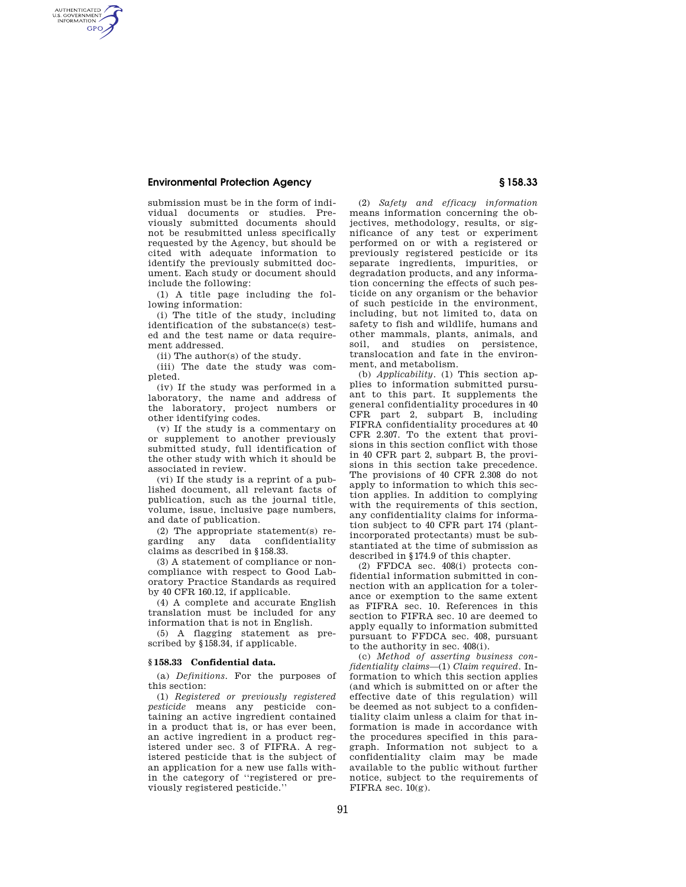## **Environmental Protection Agency § 158.33**

AUTHENTICATED<br>U.S. GOVERNMENT<br>INFORMATION **GPO** 

> submission must be in the form of individual documents or studies. Previously submitted documents should not be resubmitted unless specifically requested by the Agency, but should be cited with adequate information to identify the previously submitted document. Each study or document should include the following:

(1) A title page including the following information:

(i) The title of the study, including identification of the substance(s) tested and the test name or data requirement addressed.

(ii) The author(s) of the study.

(iii) The date the study was completed.

(iv) If the study was performed in a laboratory, the name and address of the laboratory, project numbers or other identifying codes.

(v) If the study is a commentary on or supplement to another previously submitted study, full identification of the other study with which it should be associated in review.

(vi) If the study is a reprint of a published document, all relevant facts of publication, such as the journal title, volume, issue, inclusive page numbers, and date of publication.

(2) The appropriate statement(s) regarding any data confidentiality claims as described in §158.33.

(3) A statement of compliance or noncompliance with respect to Good Laboratory Practice Standards as required by 40 CFR 160.12, if applicable.

(4) A complete and accurate English translation must be included for any information that is not in English.

(5) A flagging statement as prescribed by §158.34, if applicable.

## **§ 158.33 Confidential data.**

(a) *Definitions*. For the purposes of this section:

(1) *Registered or previously registered pesticide* means any pesticide containing an active ingredient contained in a product that is, or has ever been, an active ingredient in a product registered under sec. 3 of FIFRA. A registered pesticide that is the subject of an application for a new use falls within the category of ''registered or previously registered pesticide.''

(2) *Safety and efficacy information*  means information concerning the objectives, methodology, results, or significance of any test or experiment performed on or with a registered or previously registered pesticide or its separate ingredients, impurities, or degradation products, and any information concerning the effects of such pesticide on any organism or the behavior of such pesticide in the environment, including, but not limited to, data on safety to fish and wildlife, humans and other mammals, plants, animals, and soil, and studies on persistence, translocation and fate in the environment, and metabolism.

(b) *Applicability*. (1) This section applies to information submitted pursuant to this part. It supplements the general confidentiality procedures in 40 CFR part 2, subpart B, including FIFRA confidentiality procedures at 40 CFR 2.307. To the extent that provisions in this section conflict with those in 40 CFR part 2, subpart B, the provisions in this section take precedence. The provisions of 40 CFR 2.308 do not apply to information to which this section applies. In addition to complying with the requirements of this section, any confidentiality claims for information subject to 40 CFR part 174 (plantincorporated protectants) must be substantiated at the time of submission as described in §174.9 of this chapter.

(2) FFDCA sec. 408(i) protects confidential information submitted in connection with an application for a tolerance or exemption to the same extent as FIFRA sec. 10. References in this section to FIFRA sec. 10 are deemed to apply equally to information submitted pursuant to FFDCA sec. 408, pursuant to the authority in sec. 408(i).

(c) *Method of asserting business confidentiality claims*—(1) *Claim required*. Information to which this section applies (and which is submitted on or after the effective date of this regulation) will be deemed as not subject to a confidentiality claim unless a claim for that information is made in accordance with the procedures specified in this paragraph. Information not subject to a confidentiality claim may be made available to the public without further notice, subject to the requirements of FIFRA sec.  $10(g)$ .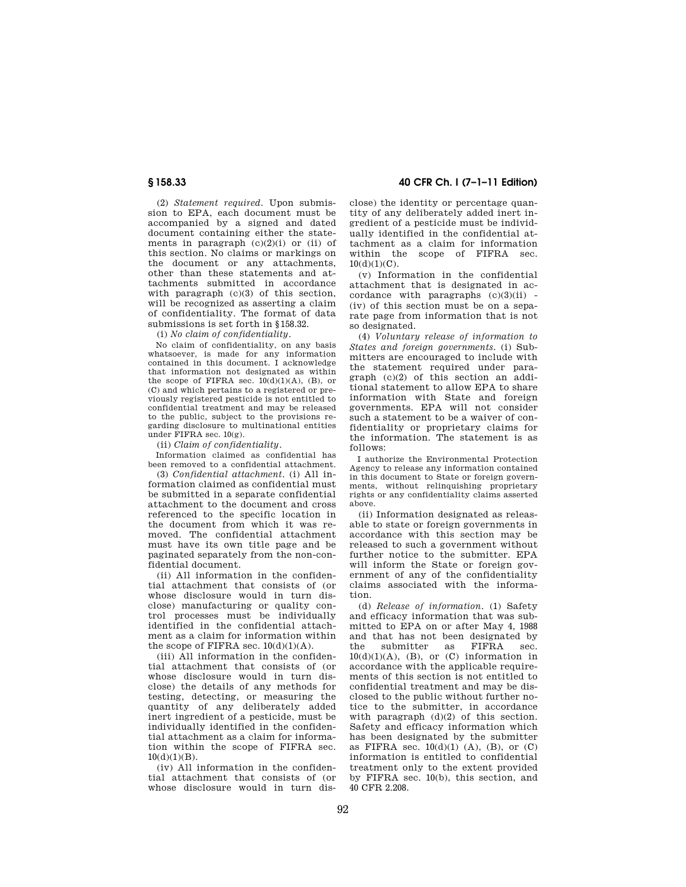(2) *Statement required*. Upon submission to EPA, each document must be accompanied by a signed and dated document containing either the statements in paragraph  $(c)(2)(i)$  or (ii) of this section. No claims or markings on the document or any attachments, other than these statements and attachments submitted in accordance with paragraph (c)(3) of this section, will be recognized as asserting a claim of confidentiality. The format of data submissions is set forth in §158.32.

(i) *No claim of confidentiality*.

No claim of confidentiality, on any basis whatsoever, is made for any information contained in this document. I acknowledge that information not designated as within the scope of FIFRA sec.  $10(d)(1)(A)$ , (B), or (C) and which pertains to a registered or previously registered pesticide is not entitled to confidential treatment and may be released to the public, subject to the provisions regarding disclosure to multinational entities under FIFRA sec. 10(g).

(ii) *Claim of confidentiality*.

Information claimed as confidential has been removed to a confidential attachment.

(3) *Confidential attachment*. (i) All information claimed as confidential must be submitted in a separate confidential attachment to the document and cross referenced to the specific location in the document from which it was removed. The confidential attachment must have its own title page and be paginated separately from the non-confidential document.

(ii) All information in the confidential attachment that consists of (or whose disclosure would in turn disclose) manufacturing or quality control processes must be individually identified in the confidential attachment as a claim for information within the scope of FIFRA sec.  $10(d)(1)(A)$ .

(iii) All information in the confidential attachment that consists of (or whose disclosure would in turn disclose) the details of any methods for testing, detecting, or measuring the quantity of any deliberately added inert ingredient of a pesticide, must be individually identified in the confidential attachment as a claim for information within the scope of FIFRA sec.  $10(d)(1)(B)$ .

(iv) All information in the confidential attachment that consists of (or whose disclosure would in turn dis-

**§ 158.33 40 CFR Ch. I (7–1–11 Edition)** 

close) the identity or percentage quantity of any deliberately added inert ingredient of a pesticide must be individually identified in the confidential attachment as a claim for information within the scope of FIFRA sec.  $10(d)(1)(C)$ .

(v) Information in the confidential attachment that is designated in accordance with paragraphs  $(c)(3)(ii)$  -(iv) of this section must be on a separate page from information that is not so designated.

(4) *Voluntary release of information to States and foreign governments.* (i) Submitters are encouraged to include with the statement required under paragraph (c)(2) of this section an additional statement to allow EPA to share information with State and foreign governments. EPA will not consider such a statement to be a waiver of confidentiality or proprietary claims for the information. The statement is as follows:

I authorize the Environmental Protection Agency to release any information contained in this document to State or foreign governments, without relinquishing proprietary rights or any confidentiality claims asserted above.

(ii) Information designated as releasable to state or foreign governments in accordance with this section may be released to such a government without further notice to the submitter. EPA will inform the State or foreign government of any of the confidentiality claims associated with the information.

(d) *Release of information*. (1) Safety and efficacy information that was submitted to EPA on or after May 4, 1988 and that has not been designated by<br>the submitter as FIFRA sec the submitter as FIFRA sec.  $10(d)(1)(A)$ , (B), or (C) information in accordance with the applicable requirements of this section is not entitled to confidential treatment and may be disclosed to the public without further notice to the submitter, in accordance with paragraph  $(d)(2)$  of this section. Safety and efficacy information which has been designated by the submitter as FIFRA sec.  $10(d)(1)$  (A), (B), or (C) information is entitled to confidential treatment only to the extent provided by FIFRA sec. 10(b), this section, and 40 CFR 2.208.